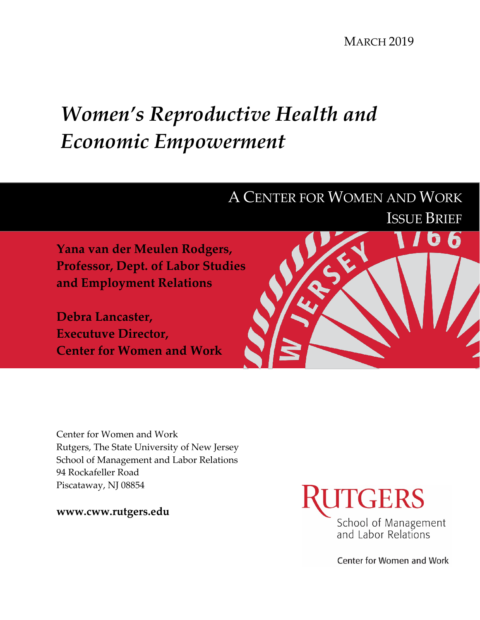**MARCH 2019** 

# *Women's Reproductive Health and Economic Empowerment*



Center for Women and Work Rutgers, The State University of New Jersey School of Management and Labor Relations 94 Rockafeller Road Piscataway, NJ 08854

**www.cww.rutgers.edu**



Center for Women and Work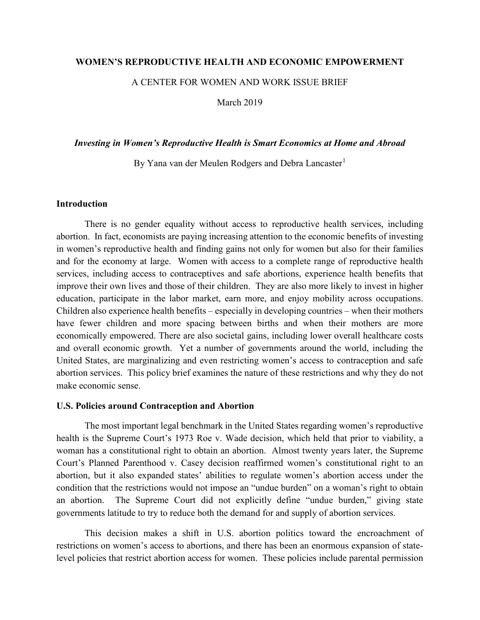### **WOMEN'S REPRODUCTIVE HEALTH AND ECONOMIC EMPOWERMENT**

A CENTER FOR WOMEN AND WORK ISSUE BRIEF

March 2019

#### *Investing in Women's Reproductive Health is Smart Economics at Home and Abroad*

By Yana van der Meulen Rodgers and Debra Lancaster<sup>[1](#page-6-0)</sup>

## **Introduction**

There is no gender equality without access to reproductive health services, including abortion. In fact, economists are paying increasing attention to the economic benefits of investing in women's reproductive health and finding gains not only for women but also for their families and for the economy at large. Women with access to a complete range of reproductive health services, including access to contraceptives and safe abortions, experience health benefits that improve their own lives and those of their children. They are also more likely to invest in higher education, participate in the labor market, earn more, and enjoy mobility across occupations. Children also experience health benefits – especially in developing countries – when their mothers have fewer children and more spacing between births and when their mothers are more economically empowered. There are also societal gains, including lower overall healthcare costs and overall economic growth. Yet a number of governments around the world, including the United States, are marginalizing and even restricting women's access to contraception and safe abortion services. This policy brief examines the nature of these restrictions and why they do not make economic sense.

#### **U.S. Policies around Contraception and Abortion**

The most important legal benchmark in the United States regarding women's reproductive health is the Supreme Court's 1973 Roe v. Wade decision, which held that prior to viability, a woman has a constitutional right to obtain an abortion. Almost twenty years later, the Supreme Court's Planned Parenthood v. Casey decision reaffirmed women's constitutional right to an abortion, but it also expanded states' abilities to regulate women's abortion access under the condition that the restrictions would not impose an "undue burden" on a woman's right to obtain an abortion. The Supreme Court did not explicitly define "undue burden," giving state governments latitude to try to reduce both the demand for and supply of abortion services.

This decision makes a shift in U.S. abortion politics toward the encroachment of restrictions on women's access to abortions, and there has been an enormous expansion of statelevel policies that restrict abortion access for women. These policies include parental permission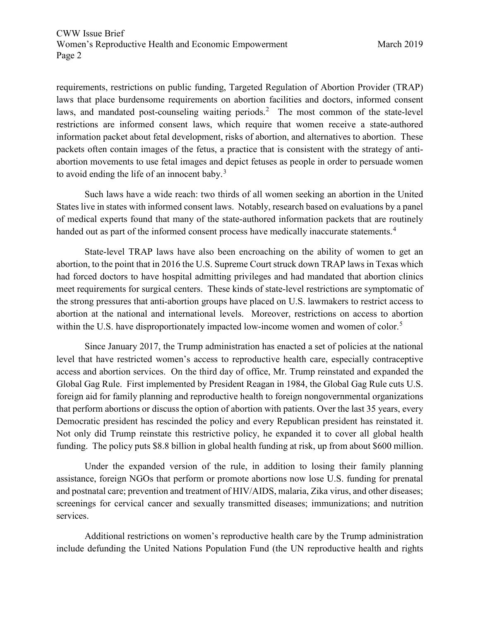requirements, restrictions on public funding, Targeted Regulation of Abortion Provider (TRAP) laws that place burdensome requirements on abortion facilities and doctors, informed consent laws, and mandated post-counseling waiting periods.<sup>[2](#page-6-1)</sup> The most common of the state-level restrictions are informed consent laws, which require that women receive a state-authored information packet about fetal development, risks of abortion, and alternatives to abortion. These packets often contain images of the fetus, a practice that is consistent with the strategy of antiabortion movements to use fetal images and depict fetuses as people in order to persuade women to avoid ending the life of an innocent baby. $3$ 

Such laws have a wide reach: two thirds of all women seeking an abortion in the United States live in states with informed consent laws. Notably, research based on evaluations by a panel of medical experts found that many of the state-authored information packets that are routinely handed out as part of the informed consent process have medically inaccurate statements.<sup>[4](#page-6-3)</sup>

State-level TRAP laws have also been encroaching on the ability of women to get an abortion, to the point that in 2016 the U.S. Supreme Court struck down TRAP laws in Texas which had forced doctors to have hospital admitting privileges and had mandated that abortion clinics meet requirements for surgical centers. These kinds of state-level restrictions are symptomatic of the strong pressures that anti-abortion groups have placed on U.S. lawmakers to restrict access to abortion at the national and international levels. Moreover, restrictions on access to abortion within the U.S. have disproportionately impacted low-income women and women of color.<sup>[5](#page-6-4)</sup>

Since January 2017, the Trump administration has enacted a set of policies at the national level that have restricted women's access to reproductive health care, especially contraceptive access and abortion services. On the third day of office, Mr. Trump reinstated and expanded the Global Gag Rule. First implemented by President Reagan in 1984, the Global Gag Rule cuts U.S. foreign aid for family planning and reproductive health to foreign nongovernmental organizations that perform abortions or discuss the option of abortion with patients. Over the last 35 years, every Democratic president has rescinded the policy and every Republican president has reinstated it. Not only did Trump reinstate this restrictive policy, he expanded it to cover all global health funding. The policy puts \$8.8 billion in global health funding at risk, up from about \$600 million.

Under the expanded version of the rule, in addition to losing their family planning assistance, foreign NGOs that perform or promote abortions now lose U.S. funding for prenatal and postnatal care; prevention and treatment of HIV/AIDS, malaria, Zika virus, and other diseases; screenings for cervical cancer and sexually transmitted diseases; immunizations; and nutrition services.

Additional restrictions on women's reproductive health care by the Trump administration include defunding the United Nations Population Fund (the UN reproductive health and rights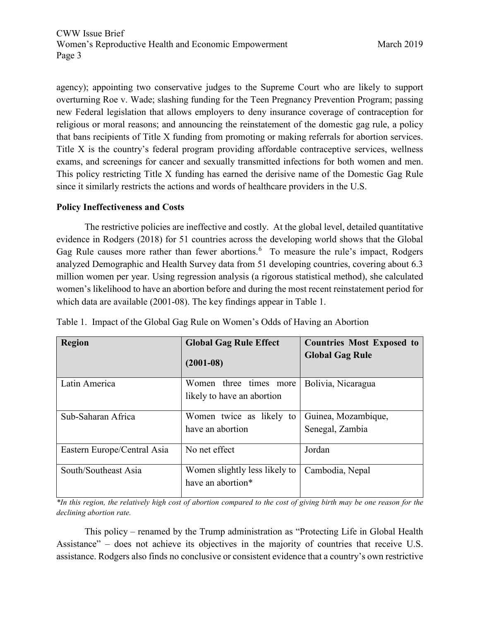agency); appointing two conservative judges to the Supreme Court who are likely to support overturning Roe v. Wade; slashing funding for the Teen Pregnancy Prevention Program; passing new Federal legislation that allows employers to deny insurance coverage of contraception for religious or moral reasons; and announcing the reinstatement of the domestic gag rule, a policy that bans recipients of Title X funding from promoting or making referrals for abortion services. Title X is the country's federal program providing affordable contraceptive services, wellness exams, and screenings for cancer and sexually transmitted infections for both women and men. This policy restricting Title X funding has earned the derisive name of the Domestic Gag Rule since it similarly restricts the actions and words of healthcare providers in the U.S.

## **Policy Ineffectiveness and Costs**

The restrictive policies are ineffective and costly. At the global level, detailed quantitative evidence in Rodgers (2018) for 51 countries across the developing world shows that the Global Gag Rule causes more rather than fewer abortions.<sup>[6](#page-6-5)</sup> To measure the rule's impact, Rodgers analyzed Demographic and Health Survey data from 51 developing countries, covering about 6.3 million women per year. Using regression analysis (a rigorous statistical method), she calculated women's likelihood to have an abortion before and during the most recent reinstatement period for which data are available (2001-08). The key findings appear in Table 1.

| <b>Region</b>               | <b>Global Gag Rule Effect</b><br>$(2001 - 08)$       | <b>Countries Most Exposed to</b><br><b>Global Gag Rule</b> |
|-----------------------------|------------------------------------------------------|------------------------------------------------------------|
| Latin America               | Women three times more<br>likely to have an abortion | Bolivia, Nicaragua                                         |
| Sub-Saharan Africa          | Women twice as likely to<br>have an abortion         | Guinea, Mozambique,<br>Senegal, Zambia                     |
| Eastern Europe/Central Asia | No net effect                                        | Jordan                                                     |
| South/Southeast Asia        | Women slightly less likely to<br>have an abortion*   | Cambodia, Nepal                                            |

Table 1. Impact of the Global Gag Rule on Women's Odds of Having an Abortion

*\*In this region, the relatively high cost of abortion compared to the cost of giving birth may be one reason for the declining abortion rate.*

This policy – renamed by the Trump administration as "Protecting Life in Global Health Assistance" – does not achieve its objectives in the majority of countries that receive U.S. assistance. Rodgers also finds no conclusive or consistent evidence that a country's own restrictive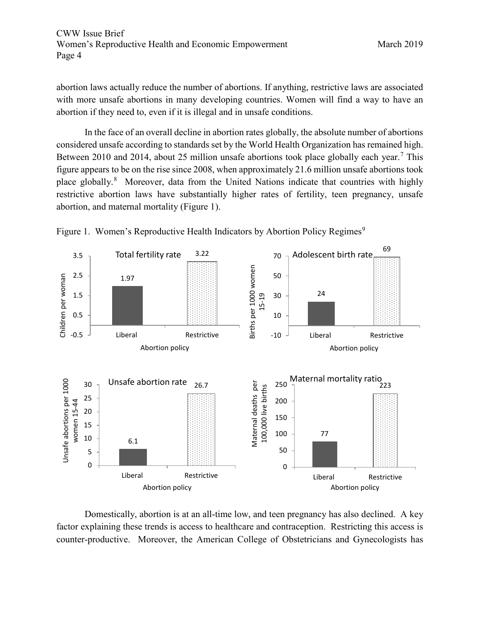abortion laws actually reduce the number of abortions. If anything, restrictive laws are associated with more unsafe abortions in many developing countries. Women will find a way to have an abortion if they need to, even if it is illegal and in unsafe conditions.

In the face of an overall decline in abortion rates globally, the absolute number of abortions considered unsafe according to standards set by the World Health Organization has remained high. Between 2010 and 2014, about 25 million unsafe abortions took place globally each year.<sup>[7](#page-6-6)</sup> This figure appears to be on the rise since 2008, when approximately 21.6 million unsafe abortions took place globally.<sup>[8](#page-6-7)</sup> Moreover, data from the United Nations indicate that countries with highly restrictive abortion laws have substantially higher rates of fertility, teen pregnancy, unsafe abortion, and maternal mortality (Figure 1).





Domestically, abortion is at an all-time low, and teen pregnancy has also declined. A key factor explaining these trends is access to healthcare and contraception. Restricting this access is counter-productive. Moreover, the American College of Obstetricians and Gynecologists has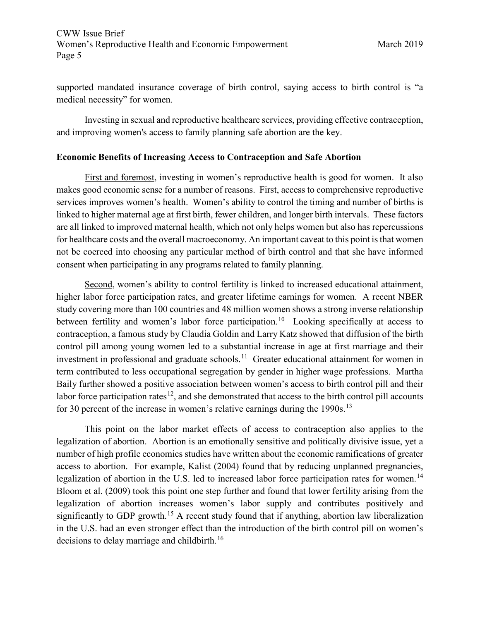supported mandated insurance coverage of birth control, saying access to birth control is "a medical necessity" for women.

Investing in sexual and reproductive healthcare services, providing effective contraception, and improving women's access to family planning safe abortion are the key.

## **Economic Benefits of Increasing Access to Contraception and Safe Abortion**

First and foremost, investing in women's reproductive health is good for women. It also makes good economic sense for a number of reasons. First, access to comprehensive reproductive services improves women's health. Women's ability to control the timing and number of births is linked to higher maternal age at first birth, fewer children, and longer birth intervals. These factors are all linked to improved maternal health, which not only helps women but also has repercussions for healthcare costs and the overall macroeconomy. An important caveat to this point is that women not be coerced into choosing any particular method of birth control and that she have informed consent when participating in any programs related to family planning.

Second, women's ability to control fertility is linked to increased educational attainment, higher labor force participation rates, and greater lifetime earnings for women. A recent NBER study covering more than 100 countries and 48 million women shows a strong inverse relationship between fertility and women's labor force participation.<sup>[10](#page-6-9)</sup> Looking specifically at access to contraception, a famous study by Claudia Goldin and Larry Katz showed that diffusion of the birth control pill among young women led to a substantial increase in age at first marriage and their investment in professional and graduate schools.<sup>11</sup> Greater educational attainment for women in term contributed to less occupational segregation by gender in higher wage professions. Martha Baily further showed a positive association between women's access to birth control pill and their labor force participation rates<sup>12</sup>, and she demonstrated that access to the birth control pill accounts for 30 percent of the increase in women's relative earnings during the  $1990s$ <sup>[13](#page-6-12)</sup>

This point on the labor market effects of access to contraception also applies to the legalization of abortion. Abortion is an emotionally sensitive and politically divisive issue, yet a number of high profile economics studies have written about the economic ramifications of greater access to abortion. For example, Kalist (2004) found that by reducing unplanned pregnancies, legalization of abortion in the U.S. led to increased labor force participation rates for women.<sup>[14](#page-6-13)</sup> Bloom et al. (2009) took this point one step further and found that lower fertility arising from the legalization of abortion increases women's labor supply and contributes positively and significantly to GDP growth.<sup>[15](#page-6-14)</sup> A recent study found that if anything, abortion law liberalization in the U.S. had an even stronger effect than the introduction of the birth control pill on women's decisions to delay marriage and childbirth.<sup>[16](#page-6-15)</sup>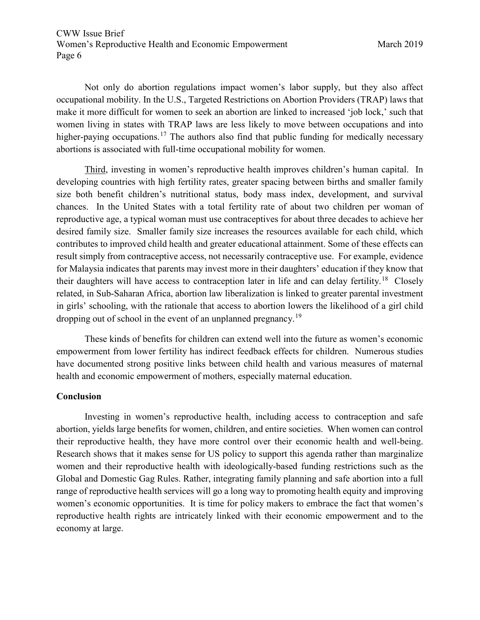<span id="page-6-0"></span>Not only do abortion regulations impact women's labor supply, but they also affect occupational mobility. In the U.S., Targeted Restrictions on Abortion Providers (TRAP) laws that make it more difficult for women to seek an abortion are linked to increased 'job lock,' such that women living in states with TRAP laws are less likely to move between occupations and into higher-paying occupations.<sup>[17](#page-6-16)</sup> The authors also find that public funding for medically necessary abortions is associated with full-time occupational mobility for women.

<span id="page-6-5"></span><span id="page-6-4"></span><span id="page-6-3"></span><span id="page-6-2"></span><span id="page-6-1"></span>Third, investing in women's reproductive health improves children's human capital. In developing countries with high fertility rates, greater spacing between births and smaller family size both benefit children's nutritional status, body mass index, development, and survival chances. In the United States with a total fertility rate of about two children per woman of reproductive age, a typical woman must use contraceptives for about three decades to achieve her desired family size. Smaller family size increases the resources available for each child, which contributes to improved child health and greater educational attainment. Some of these effects can result simply from contraceptive access, not necessarily contraceptive use. For example, evidence for Malaysia indicates that parents may invest more in their daughters' education if they know that their daughters will have access to contraception later in life and can delay fertility.<sup>[18](#page-6-17)</sup> Closely related, in Sub-Saharan Africa, abortion law liberalization is linked to greater parental investment in girls' schooling, with the rationale that access to abortion lowers the likelihood of a girl child dropping out of school in the event of an unplanned pregnancy.<sup>[19](#page-7-0)</sup>

<span id="page-6-11"></span><span id="page-6-10"></span><span id="page-6-9"></span><span id="page-6-8"></span><span id="page-6-7"></span><span id="page-6-6"></span>These kinds of benefits for children can extend well into the future as women's economic empowerment from lower fertility has indirect feedback effects for children. Numerous studies have documented strong positive links between child health and various measures of maternal health and economic empowerment of mothers, especially maternal education.

## <span id="page-6-12"></span>**Conclusion**

<span id="page-6-17"></span><span id="page-6-16"></span><span id="page-6-15"></span><span id="page-6-14"></span><span id="page-6-13"></span>Investing in women's reproductive health, including access to contraception and safe abortion, yields large benefits for women, children, and entire societies. When women can control their reproductive health, they have more control over their economic health and well-being. Research shows that it makes sense for US policy to support this agenda rather than marginalize women and their reproductive health with ideologically-based funding restrictions such as the Global and Domestic Gag Rules. Rather, integrating family planning and safe abortion into a full range of reproductive health services will go a long way to promoting health equity and improving women's economic opportunities. It is time for policy makers to embrace the fact that women's reproductive health rights are intricately linked with their economic empowerment and to the economy at large.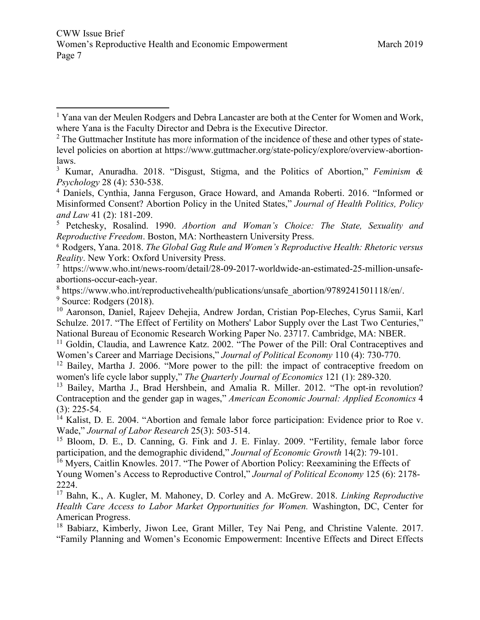<sup>5</sup> Petchesky, Rosalind. 1990. *Abortion and Woman's Choice: The State, Sexuality and Reproductive Freedom*. Boston, MA: Northeastern University Press.

6 Rodgers, Yana. 2018. *The Global Gag Rule and Women's Reproductive Health: Rhetoric versus Reality*. New York: Oxford University Press.

<sup>7</sup> https://www.who.int/news-room/detail/28-09-2017-worldwide-an-estimated-25-million-unsafeabortions-occur-each-year.

<sup>8</sup> https://www.who.int/reproductivehealth/publications/unsafe\_abortion/9789241501118/en/.  $9$  Source: Rodgers (2018).

<sup>10</sup> Aaronson, Daniel, Rajeev Dehejia, Andrew Jordan, Cristian Pop-Eleches, Cyrus Samii, Karl Schulze. 2017. "The Effect of Fertility on Mothers' Labor Supply over the Last Two Centuries," National Bureau of Economic Research Working Paper No. 23717. Cambridge, MA: NBER.

<sup>11</sup> Goldin, Claudia, and Lawrence Katz. 2002. "The Power of the Pill: Oral Contraceptives and Women's Career and Marriage Decisions," *Journal of Political Economy* 110 (4): 730-770.

 $12$  Bailey, Martha J. 2006. "More power to the pill: the impact of contraceptive freedom on women's life cycle labor supply," *The Quarterly Journal of Economics* 121 (1): 289-320.

<sup>13</sup> Bailey, Martha J., Brad Hershbein, and Amalia R. Miller. 2012. "The opt-in revolution? Contraception and the gender gap in wages," *American Economic Journal: Applied Economics* 4 (3): 225-54.

<sup>14</sup> Kalist, D. E. 2004. "Abortion and female labor force participation: Evidence prior to Roe v. Wade," *Journal of Labor Research* 25(3): 503-514.

<sup>15</sup> Bloom, D. E., D. Canning, G. Fink and J. E. Finlay. 2009. "Fertility, female labor force participation, and the demographic dividend," *Journal of Economic Growth* 14(2): 79-101.

<sup>16</sup> Myers, Caitlin Knowles. 2017. "The Power of Abortion Policy: Reexamining the Effects of

Young Women's Access to Reproductive Control," *Journal of Political Economy* 125 (6): 2178- 2224.

<sup>17</sup> Bahn, K., A. Kugler, M. Mahoney, D. Corley and A. McGrew. 2018. *Linking Reproductive Health Care Access to Labor Market Opportunities for Women.* Washington, DC, Center for American Progress.

<sup>18</sup> Babiarz, Kimberly, Jiwon Lee, Grant Miller, Tey Nai Peng, and Christine Valente. 2017. "Family Planning and Women's Economic Empowerment: Incentive Effects and Direct Effects

<span id="page-7-0"></span><sup>&</sup>lt;sup>1</sup> Yana van der Meulen Rodgers and Debra Lancaster are both at the Center for Women and Work, where Yana is the Faculty Director and Debra is the Executive Director.  $\overline{\phantom{a}}$ 

 $2$  The Guttmacher Institute has more information of the incidence of these and other types of statelevel policies on abortion at https://www.guttmacher.org/state-policy/explore/overview-abortionlaws.

<sup>3</sup> Kumar, Anuradha. 2018. "Disgust, Stigma, and the Politics of Abortion," *Feminism & Psychology* 28 (4): 530-538.

<sup>&</sup>lt;sup>4</sup> Daniels, Cynthia, Janna Ferguson, Grace Howard, and Amanda Roberti. 2016. "Informed or Misinformed Consent? Abortion Policy in the United States," *Journal of Health Politics, Policy and Law* 41 (2): 181-209.